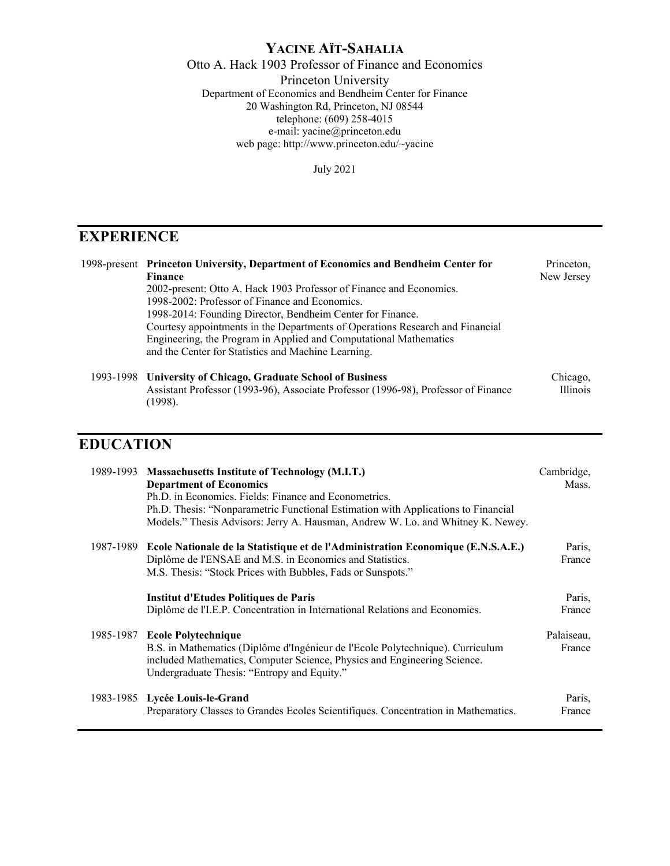# **YACINE AÏT-SAHALIA**

Otto A. Hack 1903 Professor of Finance and Economics

Princeton University Department of Economics and Bendheim Center for Finance 20 Washington Rd, Princeton, NJ 08544 telephone: (609) 258-4015 e-mail: yacine@princeton.edu web page: http://www.princeton.edu/~yacine

July 2021

# **EXPERIENCE**

|  | 1998-present Princeton University, Department of Economics and Bendheim Center for | Princeton. |
|--|------------------------------------------------------------------------------------|------------|
|  | Finance                                                                            | New Jersey |
|  | 2002-present: Otto A. Hack 1903 Professor of Finance and Economics.                |            |
|  | 1998-2002: Professor of Finance and Economics.                                     |            |
|  | 1998-2014: Founding Director, Bendheim Center for Finance.                         |            |
|  | Courtesy appointments in the Departments of Operations Research and Financial      |            |
|  | Engineering, the Program in Applied and Computational Mathematics                  |            |
|  | and the Center for Statistics and Machine Learning.                                |            |
|  | 1993-1998 University of Chicago, Graduate School of Business                       | Chicago,   |
|  | Assistant Professor (1993-96), Associate Professor (1996-98), Professor of Finance | Illinois   |

# **EDUCATION**

(1998).

|           | 1989-1993 Massachusetts Institute of Technology (M.I.T.)<br><b>Department of Economics</b><br>Ph.D. in Economics. Fields: Finance and Econometrics.<br>Ph.D. Thesis: "Nonparametric Functional Estimation with Applications to Financial<br>Models." Thesis Advisors: Jerry A. Hausman, Andrew W. Lo. and Whitney K. Newey. | Cambridge,<br>Mass.  |
|-----------|-----------------------------------------------------------------------------------------------------------------------------------------------------------------------------------------------------------------------------------------------------------------------------------------------------------------------------|----------------------|
| 1987-1989 | Ecole Nationale de la Statistique et de l'Administration Economique (E.N.S.A.E.)<br>Diplôme de l'ENSAE and M.S. in Economics and Statistics.<br>M.S. Thesis: "Stock Prices with Bubbles, Fads or Sunspots."                                                                                                                 | Paris,<br>France     |
|           | Institut d'Etudes Politiques de Paris<br>Diplôme de l'I.E.P. Concentration in International Relations and Economics.                                                                                                                                                                                                        | Paris,<br>France     |
|           | 1985-1987 Ecole Polytechnique<br>B.S. in Mathematics (Diplôme d'Ingénieur de l'Ecole Polytechnique). Curriculum<br>included Mathematics, Computer Science, Physics and Engineering Science.<br>Undergraduate Thesis: "Entropy and Equity."                                                                                  | Palaiseau,<br>France |
|           | 1983-1985 Lycée Louis-le-Grand<br>Preparatory Classes to Grandes Ecoles Scientifiques. Concentration in Mathematics.                                                                                                                                                                                                        | Paris,<br>France     |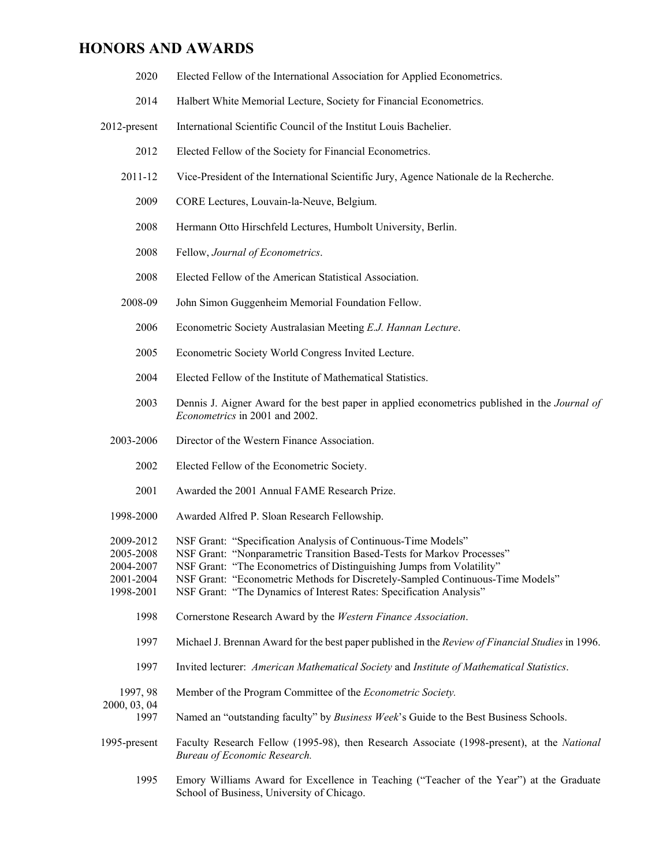#### **HONORS AND AWARDS**

- 2020 Elected Fellow of the International Association for Applied Econometrics.
- 2014 Halbert White Memorial Lecture, Society for Financial Econometrics.
- 2012-present International Scientific Council of the Institut Louis Bachelier.
	- 2012 Elected Fellow of the Society for Financial Econometrics.
	- 2011-12 Vice-President of the International Scientific Jury, Agence Nationale de la Recherche.
		- 2009 CORE Lectures, Louvain-la-Neuve, Belgium.
		- 2008 Hermann Otto Hirschfeld Lectures, Humbolt University, Berlin.
		- 2008 Fellow, *Journal of Econometrics*.
		- 2008 Elected Fellow of the American Statistical Association.
	- 2008-09 John Simon Guggenheim Memorial Foundation Fellow.
		- 2006 Econometric Society Australasian Meeting *E.J. Hannan Lecture*.
		- 2005 Econometric Society World Congress Invited Lecture.
		- 2004 Elected Fellow of the Institute of Mathematical Statistics.
		- 2003 Dennis J. Aigner Award for the best paper in applied econometrics published in the *Journal of Econometrics* in 2001 and 2002.
	- 2003-2006 Director of the Western Finance Association.
		- 2002 Elected Fellow of the Econometric Society.
		- 2001 Awarded the 2001 Annual FAME Research Prize.
	- 1998-2000 Awarded Alfred P. Sloan Research Fellowship.
	- 2009-2012 NSF Grant: "Specification Analysis of Continuous-Time Models"
	- 2005-2008 NSF Grant: "Nonparametric Transition Based-Tests for Markov Processes"
	- 2004-2007 NSF Grant: "The Econometrics of Distinguishing Jumps from Volatility"
	- 2001-2004 NSF Grant: "Econometric Methods for Discretely-Sampled Continuous-Time Models"
	- 1998-2001 NSF Grant: "The Dynamics of Interest Rates: Specification Analysis"
		- 1998 Cornerstone Research Award by the *Western Finance Association*.
		- 1997 Michael J. Brennan Award for the best paper published in the *Review of Financial Studies* in 1996.
		- 1997 Invited lecturer: *American Mathematical Society* and *Institute of Mathematical Statistics*.
- 1997, 98 Member of the Program Committee of the *Econometric Society.*

2000, 03, 04

- 1997 Named an "outstanding faculty" by *Business Week*'s Guide to the Best Business Schools.
- 1995-present Faculty Research Fellow (1995-98), then Research Associate (1998-present), at the *National Bureau of Economic Research.*
	- 1995 Emory Williams Award for Excellence in Teaching ("Teacher of the Year") at the Graduate School of Business, University of Chicago.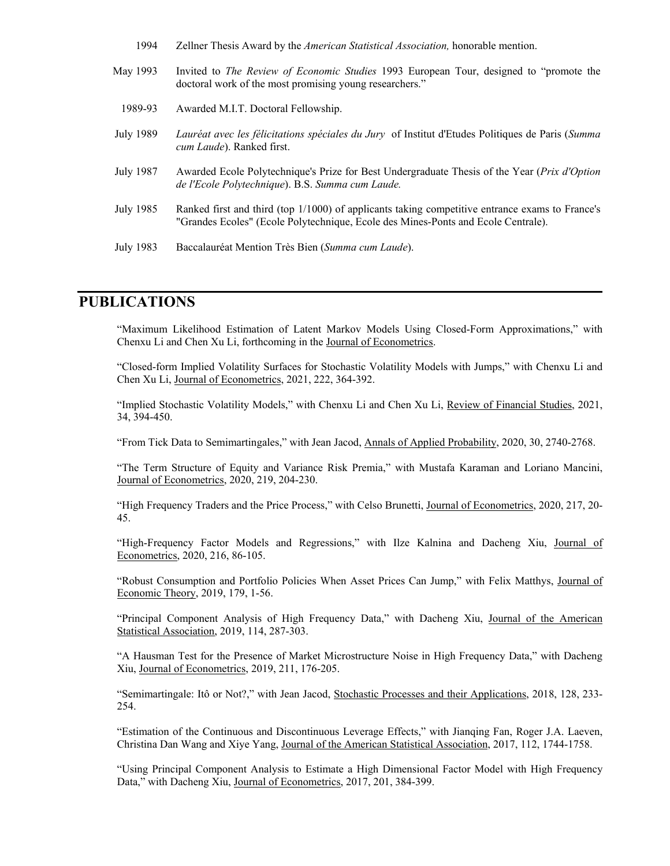| 1994 | Zellner Thesis Award by the <i>American Statistical Association</i> , honorable mention. |  |  |  |  |
|------|------------------------------------------------------------------------------------------|--|--|--|--|
|------|------------------------------------------------------------------------------------------|--|--|--|--|

| May 1993  | Invited to <i>The Review of Economic Studies</i> 1993 European Tour, designed to "promote the<br>doctoral work of the most promising young researchers."                             |
|-----------|--------------------------------------------------------------------------------------------------------------------------------------------------------------------------------------|
| 1989-93   | Awarded M.I.T. Doctoral Fellowship.                                                                                                                                                  |
| July 1989 | Lauréat avec les félicitations spéciales du Jury of Institut d'Etudes Politiques de Paris (Summa<br><i>cum Laude</i> ). Ranked first.                                                |
| July 1987 | Awarded Ecole Polytechnique's Prize for Best Undergraduate Thesis of the Year (Prix d'Option<br>de l'Ecole Polytechnique). B.S. Summa cum Laude.                                     |
| July 1985 | Ranked first and third (top 1/1000) of applicants taking competitive entrance exams to France's<br>"Grandes Ecoles" (Ecole Polytechnique, Ecole des Mines-Ponts and Ecole Centrale). |
| July 1983 | Baccalauréat Mention Très Bien (Summa cum Laude).                                                                                                                                    |

## **PUBLICATIONS**

"Maximum Likelihood Estimation of Latent Markov Models Using Closed-Form Approximations," with Chenxu Li and Chen Xu Li, forthcoming in the Journal of Econometrics.

"Closed-form Implied Volatility Surfaces for Stochastic Volatility Models with Jumps," with Chenxu Li and Chen Xu Li, Journal of Econometrics, 2021, 222, 364-392.

"Implied Stochastic Volatility Models," with Chenxu Li and Chen Xu Li, Review of Financial Studies, 2021, 34, 394-450.

"From Tick Data to Semimartingales," with Jean Jacod, Annals of Applied Probability, 2020, 30, 2740-2768.

"The Term Structure of Equity and Variance Risk Premia," with Mustafa Karaman and Loriano Mancini, Journal of Econometrics, 2020, 219, 204-230.

"High Frequency Traders and the Price Process," with Celso Brunetti, Journal of Econometrics, 2020, 217, 20- 45.

"High-Frequency Factor Models and Regressions," with Ilze Kalnina and Dacheng Xiu, Journal of Econometrics, 2020, 216, 86-105.

"Robust Consumption and Portfolio Policies When Asset Prices Can Jump," with Felix Matthys, Journal of Economic Theory, 2019, 179, 1-56.

"Principal Component Analysis of High Frequency Data," with Dacheng Xiu, Journal of the American Statistical Association, 2019, 114, 287-303.

"A Hausman Test for the Presence of Market Microstructure Noise in High Frequency Data," with Dacheng Xiu, Journal of Econometrics, 2019, 211, 176-205.

"Semimartingale: Itô or Not?," with Jean Jacod, Stochastic Processes and their Applications, 2018, 128, 233- 254.

"Estimation of the Continuous and Discontinuous Leverage Effects," with Jianqing Fan, Roger J.A. Laeven, Christina Dan Wang and Xiye Yang, Journal of the American Statistical Association, 2017, 112, 1744-1758.

"Using Principal Component Analysis to Estimate a High Dimensional Factor Model with High Frequency Data," with Dacheng Xiu, Journal of Econometrics, 2017, 201, 384-399.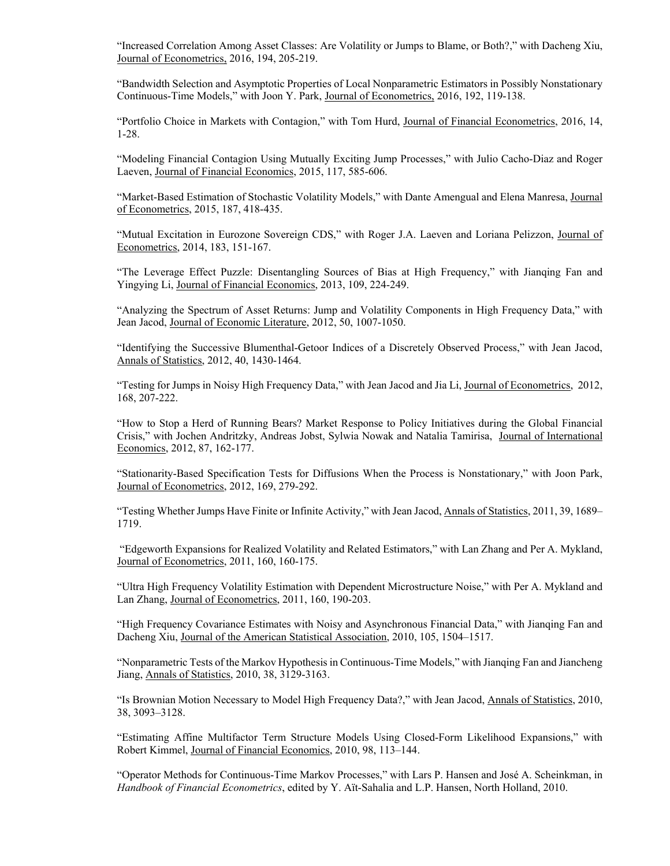"Increased Correlation Among Asset Classes: Are Volatility or Jumps to Blame, or Both?," with Dacheng Xiu, Journal of Econometrics, 2016, 194, 205-219.

"Bandwidth Selection and Asymptotic Properties of Local Nonparametric Estimators in Possibly Nonstationary Continuous-Time Models," with Joon Y. Park, Journal of Econometrics, 2016, 192, 119-138.

"Portfolio Choice in Markets with Contagion," with Tom Hurd, Journal of Financial Econometrics, 2016, 14, 1-28.

"Modeling Financial Contagion Using Mutually Exciting Jump Processes," with Julio Cacho-Diaz and Roger Laeven, Journal of Financial Economics, 2015, 117, 585-606.

"Market-Based Estimation of Stochastic Volatility Models," with Dante Amengual and Elena Manresa, Journal of Econometrics, 2015, 187, 418-435.

"Mutual Excitation in Eurozone Sovereign CDS," with Roger J.A. Laeven and Loriana Pelizzon, Journal of Econometrics, 2014, 183, 151-167.

"The Leverage Effect Puzzle: Disentangling Sources of Bias at High Frequency," with Jianqing Fan and Yingying Li, Journal of Financial Economics, 2013, 109, 224-249.

"Analyzing the Spectrum of Asset Returns: Jump and Volatility Components in High Frequency Data," with Jean Jacod, Journal of Economic Literature, 2012, 50, 1007-1050.

"Identifying the Successive Blumenthal-Getoor Indices of a Discretely Observed Process," with Jean Jacod, Annals of Statistics, 2012, 40, 1430-1464.

"Testing for Jumps in Noisy High Frequency Data," with Jean Jacod and Jia Li, Journal of Econometrics, 2012, 168, 207-222.

"How to Stop a Herd of Running Bears? Market Response to Policy Initiatives during the Global Financial Crisis," with Jochen Andritzky, Andreas Jobst, Sylwia Nowak and Natalia Tamirisa, Journal of International Economics, 2012, 87, 162-177.

"Stationarity-Based Specification Tests for Diffusions When the Process is Nonstationary," with Joon Park, Journal of Econometrics, 2012, 169, 279-292.

"Testing Whether Jumps Have Finite or Infinite Activity," with Jean Jacod, Annals of Statistics, 2011, 39, 1689– 1719.

 "Edgeworth Expansions for Realized Volatility and Related Estimators," with Lan Zhang and Per A. Mykland, Journal of Econometrics, 2011, 160, 160-175.

"Ultra High Frequency Volatility Estimation with Dependent Microstructure Noise," with Per A. Mykland and Lan Zhang, Journal of Econometrics, 2011, 160, 190-203.

"High Frequency Covariance Estimates with Noisy and Asynchronous Financial Data," with Jianqing Fan and Dacheng Xiu, Journal of the American Statistical Association, 2010, 105, 1504–1517.

"Nonparametric Tests of the Markov Hypothesis in Continuous-Time Models," with Jianqing Fan and Jiancheng Jiang, Annals of Statistics, 2010, 38, 3129-3163.

"Is Brownian Motion Necessary to Model High Frequency Data?," with Jean Jacod, Annals of Statistics, 2010, 38, 3093–3128.

"Estimating Affine Multifactor Term Structure Models Using Closed-Form Likelihood Expansions," with Robert Kimmel, Journal of Financial Economics, 2010, 98, 113–144.

"Operator Methods for Continuous-Time Markov Processes," with Lars P. Hansen and José A. Scheinkman, in *Handbook of Financial Econometrics*, edited by Y. Aït-Sahalia and L.P. Hansen, North Holland, 2010.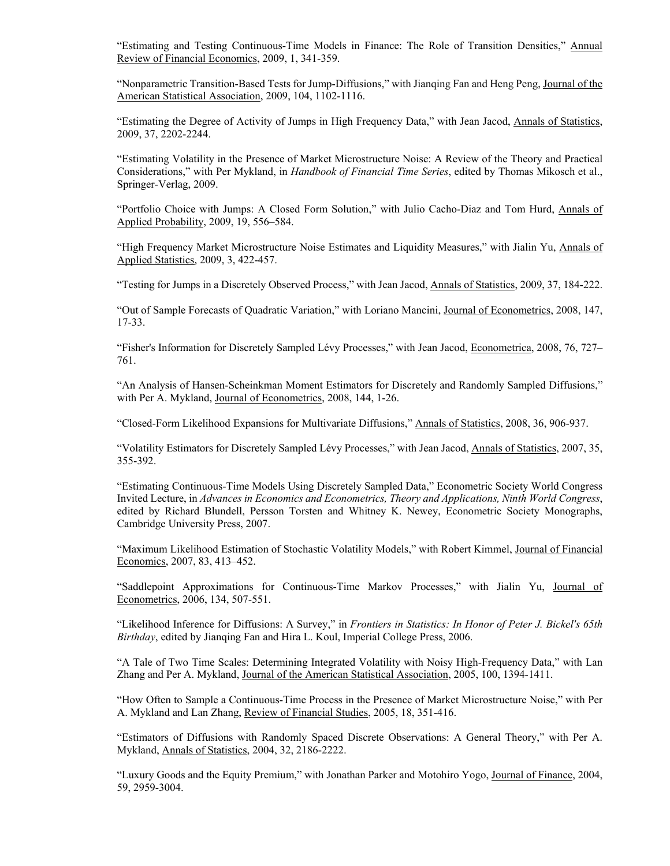"Estimating and Testing Continuous-Time Models in Finance: The Role of Transition Densities," Annual Review of Financial Economics, 2009, 1, 341-359.

"Nonparametric Transition-Based Tests for Jump-Diffusions," with Jianqing Fan and Heng Peng, Journal of the American Statistical Association, 2009, 104, 1102-1116.

"Estimating the Degree of Activity of Jumps in High Frequency Data," with Jean Jacod, Annals of Statistics, 2009, 37, 2202-2244.

"Estimating Volatility in the Presence of Market Microstructure Noise: A Review of the Theory and Practical Considerations," with Per Mykland, in *Handbook of Financial Time Series*, edited by Thomas Mikosch et al., Springer-Verlag, 2009.

"Portfolio Choice with Jumps: A Closed Form Solution," with Julio Cacho-Diaz and Tom Hurd, Annals of Applied Probability, 2009, 19, 556–584.

"High Frequency Market Microstructure Noise Estimates and Liquidity Measures," with Jialin Yu, Annals of Applied Statistics, 2009, 3, 422-457.

"Testing for Jumps in a Discretely Observed Process," with Jean Jacod, Annals of Statistics, 2009, 37, 184-222.

"Out of Sample Forecasts of Quadratic Variation," with Loriano Mancini, Journal of Econometrics, 2008, 147, 17-33.

"Fisher's Information for Discretely Sampled Lévy Processes," with Jean Jacod, Econometrica, 2008, 76, 727– 761.

"An Analysis of Hansen-Scheinkman Moment Estimators for Discretely and Randomly Sampled Diffusions," with Per A. Mykland, Journal of Econometrics, 2008, 144, 1-26.

"Closed-Form Likelihood Expansions for Multivariate Diffusions," Annals of Statistics, 2008, 36, 906-937.

"Volatility Estimators for Discretely Sampled Lévy Processes," with Jean Jacod, Annals of Statistics, 2007, 35, 355-392.

"Estimating Continuous-Time Models Using Discretely Sampled Data," Econometric Society World Congress Invited Lecture, in *Advances in Economics and Econometrics, Theory and Applications, Ninth World Congress*, edited by Richard Blundell, Persson Torsten and Whitney K. Newey, Econometric Society Monographs, Cambridge University Press, 2007.

"Maximum Likelihood Estimation of Stochastic Volatility Models," with Robert Kimmel, Journal of Financial Economics, 2007, 83, 413–452.

"Saddlepoint Approximations for Continuous-Time Markov Processes," with Jialin Yu, Journal of Econometrics, 2006, 134, 507-551.

"Likelihood Inference for Diffusions: A Survey," in *Frontiers in Statistics: In Honor of Peter J. Bickel's 65th Birthday*, edited by Jianqing Fan and Hira L. Koul, Imperial College Press, 2006.

"A Tale of Two Time Scales: Determining Integrated Volatility with Noisy High-Frequency Data," with Lan Zhang and Per A. Mykland, Journal of the American Statistical Association, 2005, 100, 1394-1411.

"How Often to Sample a Continuous-Time Process in the Presence of Market Microstructure Noise," with Per A. Mykland and Lan Zhang, Review of Financial Studies, 2005, 18, 351-416.

"Estimators of Diffusions with Randomly Spaced Discrete Observations: A General Theory," with Per A. Mykland, Annals of Statistics, 2004, 32, 2186-2222.

"Luxury Goods and the Equity Premium," with Jonathan Parker and Motohiro Yogo, Journal of Finance, 2004, 59, 2959-3004.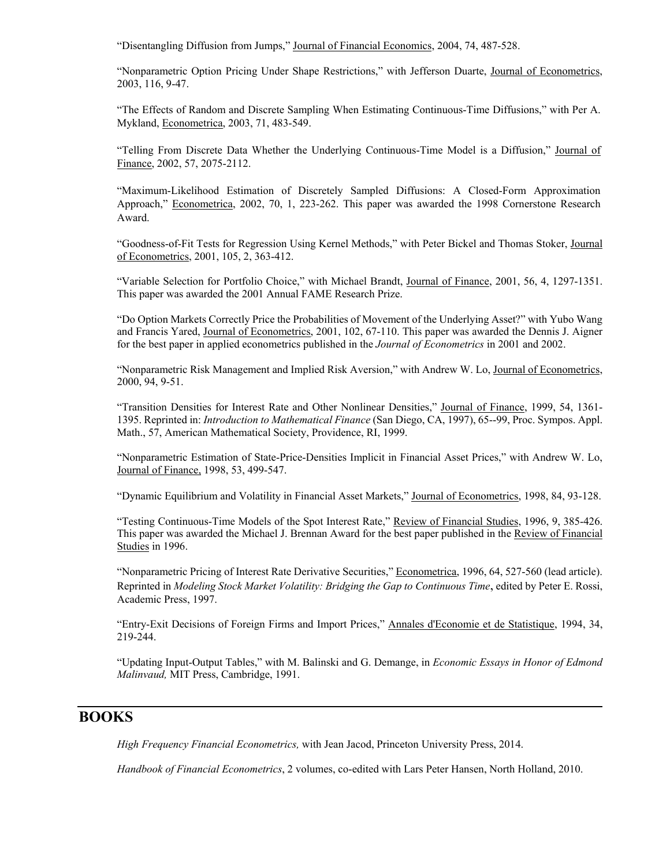"Disentangling Diffusion from Jumps," Journal of Financial Economics, 2004, 74, 487-528.

"Nonparametric Option Pricing Under Shape Restrictions," with Jefferson Duarte, Journal of Econometrics, 2003, 116, 9-47.

"The Effects of Random and Discrete Sampling When Estimating Continuous-Time Diffusions," with Per A. Mykland, Econometrica, 2003, 71, 483-549.

"Telling From Discrete Data Whether the Underlying Continuous-Time Model is a Diffusion," Journal of Finance, 2002, 57, 2075-2112.

"Maximum-Likelihood Estimation of Discretely Sampled Diffusions: A Closed-Form Approximation Approach," Econometrica, 2002, 70, 1, 223-262. This paper was awarded the 1998 Cornerstone Research Award.

"Goodness-of-Fit Tests for Regression Using Kernel Methods," with Peter Bickel and Thomas Stoker, Journal of Econometrics, 2001, 105, 2, 363-412.

"Variable Selection for Portfolio Choice," with Michael Brandt, Journal of Finance, 2001, 56, 4, 1297-1351. This paper was awarded the 2001 Annual FAME Research Prize.

"Do Option Markets Correctly Price the Probabilities of Movement of the Underlying Asset?" with Yubo Wang and Francis Yared, Journal of Econometrics, 2001, 102, 67-110. This paper was awarded the Dennis J. Aigner for the best paper in applied econometrics published in the *Journal of Econometrics* in 2001 and 2002.

"Nonparametric Risk Management and Implied Risk Aversion," with Andrew W. Lo, Journal of Econometrics, 2000, 94, 9-51.

"Transition Densities for Interest Rate and Other Nonlinear Densities," Journal of Finance, 1999, 54, 1361- 1395. Reprinted in: *Introduction to Mathematical Finance* (San Diego, CA, 1997), 65--99, Proc. Sympos. Appl. Math., 57, American Mathematical Society, Providence, RI, 1999.

"Nonparametric Estimation of State-Price-Densities Implicit in Financial Asset Prices," with Andrew W. Lo, Journal of Finance, 1998, 53, 499-547.

"Dynamic Equilibrium and Volatility in Financial Asset Markets," Journal of Econometrics, 1998, 84, 93-128.

"Testing Continuous-Time Models of the Spot Interest Rate," Review of Financial Studies, 1996, 9, 385-426. This paper was awarded the Michael J. Brennan Award for the best paper published in the Review of Financial Studies in 1996.

"Nonparametric Pricing of Interest Rate Derivative Securities," Econometrica, 1996, 64, 527-560 (lead article). Reprinted in *Modeling Stock Market Volatility: Bridging the Gap to Continuous Time*, edited by Peter E. Rossi, Academic Press, 1997.

"Entry-Exit Decisions of Foreign Firms and Import Prices," Annales d'Economie et de Statistique, 1994, 34, 219-244.

"Updating Input-Output Tables," with M. Balinski and G. Demange, in *Economic Essays in Honor of Edmond Malinvaud,* MIT Press, Cambridge, 1991.

### **BOOKS**

*High Frequency Financial Econometrics,* with Jean Jacod, Princeton University Press, 2014.

*Handbook of Financial Econometrics*, 2 volumes, co-edited with Lars Peter Hansen, North Holland, 2010.